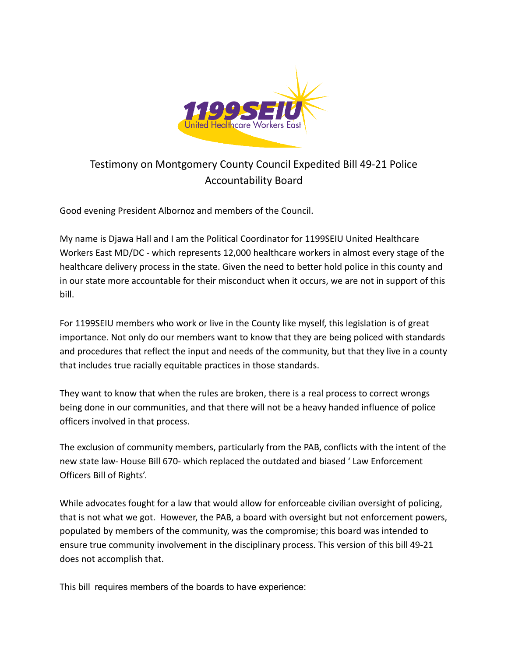

## Testimony on Montgomery County Council Expedited Bill 49-21 Police Accountability Board

Good evening President Albornoz and members of the Council.

My name is Djawa Hall and I am the Political Coordinator for 1199SEIU United Healthcare Workers East MD/DC - which represents 12,000 healthcare workers in almost every stage of the healthcare delivery process in the state. Given the need to better hold police in this county and in our state more accountable for their misconduct when it occurs, we are not in support of this bill.

For 1199SEIU members who work or live in the County like myself, this legislation is of great importance. Not only do our members want to know that they are being policed with standards and procedures that reflect the input and needs of the community, but that they live in a county that includes true racially equitable practices in those standards.

They want to know that when the rules are broken, there is a real process to correct wrongs being done in our communities, and that there will not be a heavy handed influence of police officers involved in that process.

The exclusion of community members, particularly from the PAB, conflicts with the intent of the new state law- House Bill 670- which replaced the outdated and biased ' Law Enforcement Officers Bill of Rights'.

While advocates fought for a law that would allow for enforceable civilian oversight of policing, that is not what we got. However, the PAB, a board with oversight but not enforcement powers, populated by members of the community, was the compromise; this board was intended to ensure true community involvement in the disciplinary process. This version of this bill 49-21 does not accomplish that.

This bill requires members of the boards to have experience: